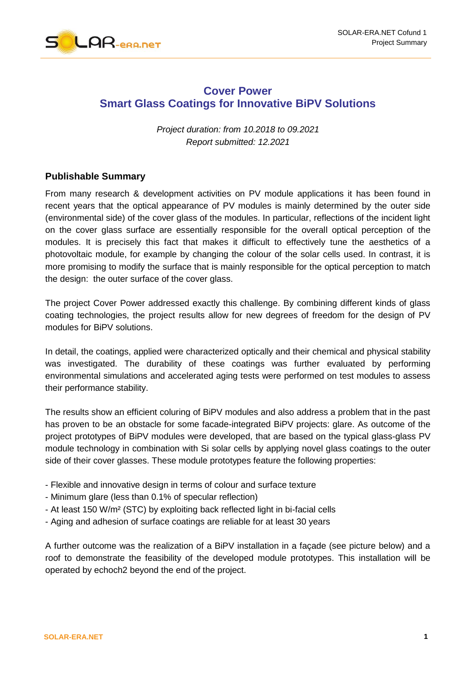

## **Cover Power Smart Glass Coatings for Innovative BiPV Solutions**

*Project duration: from 10.2018 to 09.2021 Report submitted: 12.2021*

## **Publishable Summary**

From many research & development activities on PV module applications it has been found in recent years that the optical appearance of PV modules is mainly determined by the outer side (environmental side) of the cover glass of the modules. In particular, reflections of the incident light on the cover glass surface are essentially responsible for the overall optical perception of the modules. It is precisely this fact that makes it difficult to effectively tune the aesthetics of a photovoltaic module, for example by changing the colour of the solar cells used. In contrast, it is more promising to modify the surface that is mainly responsible for the optical perception to match the design: the outer surface of the cover glass.

The project Cover Power addressed exactly this challenge. By combining different kinds of glass coating technologies, the project results allow for new degrees of freedom for the design of PV modules for BiPV solutions.

In detail, the coatings, applied were characterized optically and their chemical and physical stability was investigated. The durability of these coatings was further evaluated by performing environmental simulations and accelerated aging tests were performed on test modules to assess their performance stability.

The results show an efficient coluring of BiPV modules and also address a problem that in the past has proven to be an obstacle for some facade-integrated BiPV projects: glare. As outcome of the project prototypes of BiPV modules were developed, that are based on the typical glass-glass PV module technology in combination with Si solar cells by applying novel glass coatings to the outer side of their cover glasses. These module prototypes feature the following properties:

- Flexible and innovative design in terms of colour and surface texture
- Minimum glare (less than 0.1% of specular reflection)
- At least 150 W/m² (STC) by exploiting back reflected light in bi-facial cells
- Aging and adhesion of surface coatings are reliable for at least 30 years

A further outcome was the realization of a BiPV installation in a façade (see picture below) and a roof to demonstrate the feasibility of the developed module prototypes. This installation will be operated by echoch2 beyond the end of the project.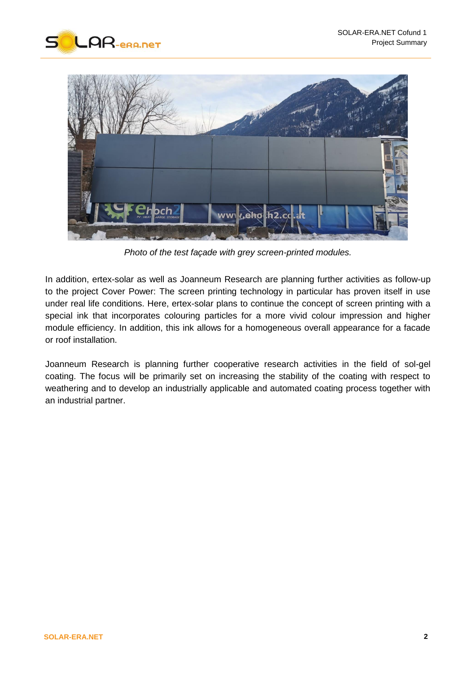



*Photo of the test façade with grey screen-printed modules.*

In addition, ertex-solar as well as Joanneum Research are planning further activities as follow-up to the project Cover Power: The screen printing technology in particular has proven itself in use under real life conditions. Here, ertex-solar plans to continue the concept of screen printing with a special ink that incorporates colouring particles for a more vivid colour impression and higher module efficiency. In addition, this ink allows for a homogeneous overall appearance for a facade or roof installation.

Joanneum Research is planning further cooperative research activities in the field of sol-gel coating. The focus will be primarily set on increasing the stability of the coating with respect to weathering and to develop an industrially applicable and automated coating process together with an industrial partner.